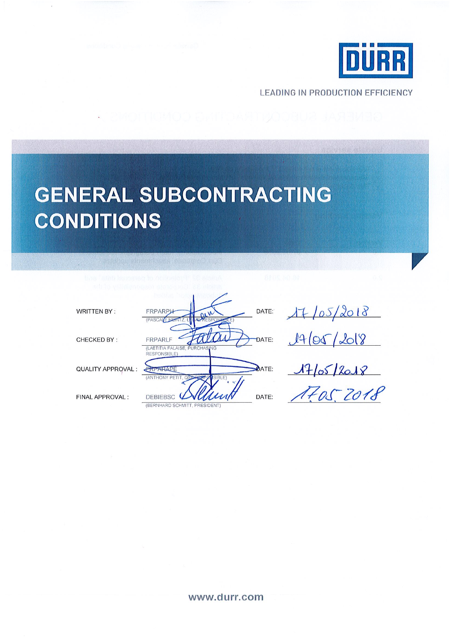

**LEADING IN PRODUCTION EFFICIENCY** 

# **GENERAL SUBCONTRACTING** CONDITIONS

DATE: **WRITTEN BY:** FRPARPL DATE: CHECKED BY: **FRPARLF** (LAETITIA FALAISE<br>RESPONSIBLE) **DATE:** QUALITY APPROVAL: PREARAPE (ANTHONY PE DATE: FINAL APPROVAL: DEBIEBSC<sup>(</sup> (BERNHARD SCHMITT, PRESIDENT)

| 47/05/2018 |  |
|------------|--|
| 1465/2018  |  |

 $17/05/2018$ 

#### www.durr.com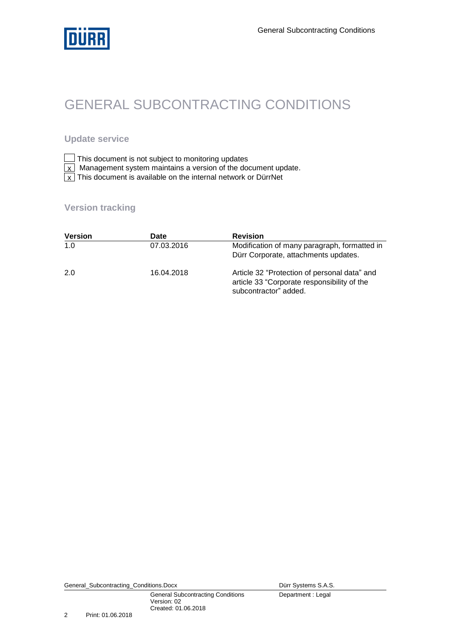

# GENERAL SUBCONTRACTING CONDITIONS

### **Update service**

| $\Box$ This document is not subject to monitoring updates |  |  |
|-----------------------------------------------------------|--|--|
|-----------------------------------------------------------|--|--|

- Management system maintains a version of the document update. x
- $\overline{x}$  This document is available on the internal network or DürrNet x

### **Version tracking**

| <b>Version</b> | Date       | <b>Revision</b>                                                                                                      |
|----------------|------------|----------------------------------------------------------------------------------------------------------------------|
| 1.0            | 07.03.2016 | Modification of many paragraph, formatted in<br>Dürr Corporate, attachments updates.                                 |
| 2.0            | 16.04.2018 | Article 32 "Protection of personal data" and<br>article 33 "Corporate responsibility of the<br>subcontractor" added. |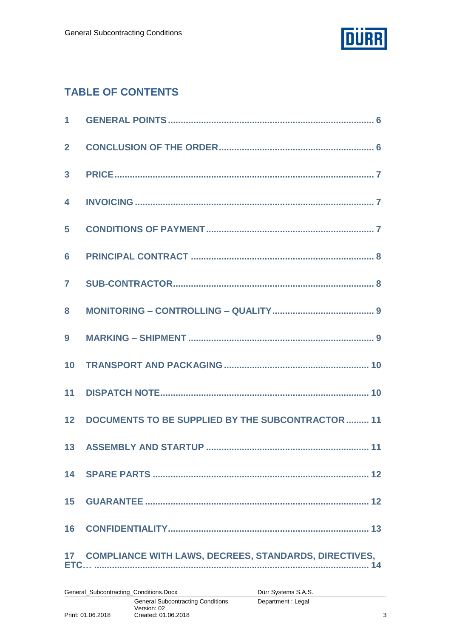

### **TABLE OF CONTENTS**

| $\overline{2}$          |                                                          |
|-------------------------|----------------------------------------------------------|
| $\overline{\mathbf{3}}$ |                                                          |
| $\overline{\mathbf{4}}$ |                                                          |
| $5\phantom{.0}$         |                                                          |
| 6                       |                                                          |
| $\overline{7}$          |                                                          |
| 8                       |                                                          |
| 9                       |                                                          |
|                         |                                                          |
|                         |                                                          |
|                         | 12 DOCUMENTS TO BE SUPPLIED BY THE SUBCONTRACTOR  11     |
|                         |                                                          |
|                         |                                                          |
|                         |                                                          |
|                         |                                                          |
|                         | 17 COMPLIANCE WITH LAWS, DECREES, STANDARDS, DIRECTIVES, |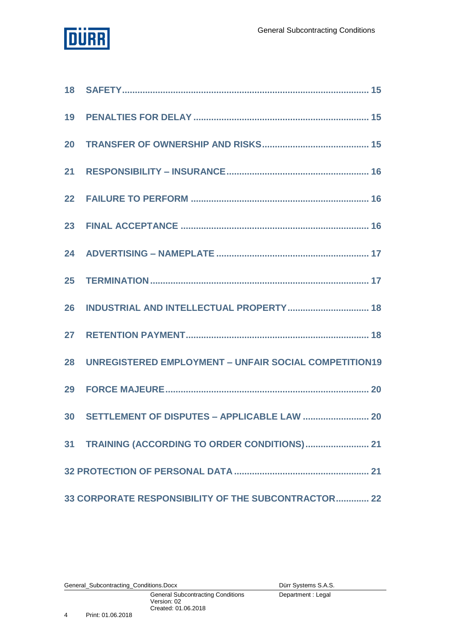

| 28 UNREGISTERED EMPLOYMENT - UNFAIR SOCIAL COMPETITION19 |
|----------------------------------------------------------|
|                                                          |
|                                                          |
|                                                          |
|                                                          |
| 33 CORPORATE RESPONSIBILITY OF THE SUBCONTRACTOR 22      |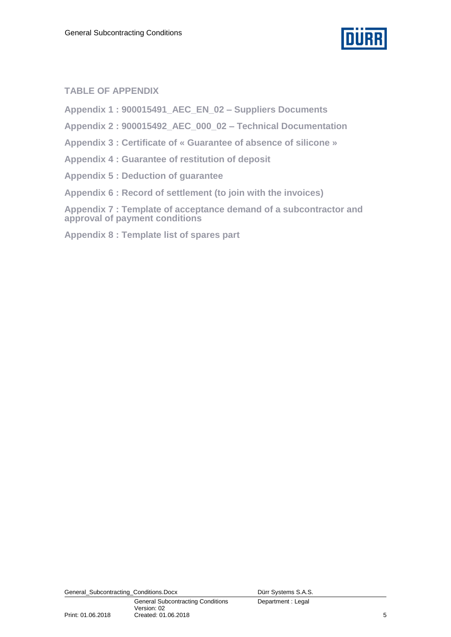

### **TABLE OF APPENDIX**

**Appendix 1 : 900015491\_AEC\_EN\_02 – Suppliers Documents**

**Appendix 2 : 900015492\_AEC\_000\_02 – Technical Documentation** 

**Appendix 3 : Certificate of « Guarantee of absence of silicone »**

**Appendix 4 : Guarantee of restitution of deposit**

**Appendix 5 : Deduction of guarantee**

**Appendix 6 : Record of settlement (to join with the invoices)**

**Appendix 7 : Template of acceptance demand of a subcontractor and approval of payment conditions**

**Appendix 8 : Template list of spares part**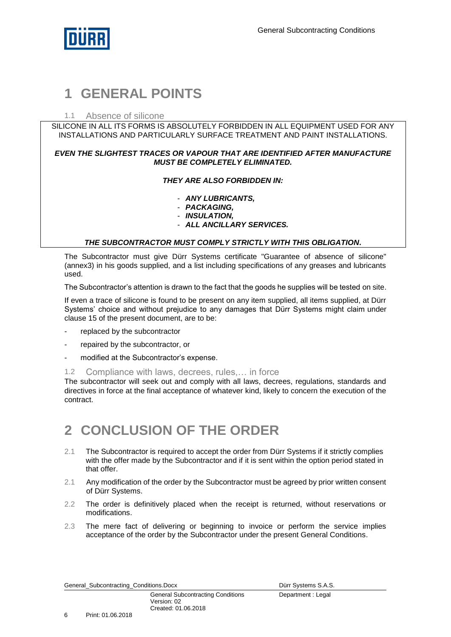

### <span id="page-5-0"></span>**1 GENERAL POINTS**

#### 1.1 Absence of silicone

SILICONE IN ALL ITS FORMS IS ABSOLUTELY FORBIDDEN IN ALL EQUIPMENT USED FOR ANY INSTALLATIONS AND PARTICULARLY SURFACE TREATMENT AND PAINT INSTALLATIONS.

#### *EVEN THE SLIGHTEST TRACES OR VAPOUR THAT ARE IDENTIFIED AFTER MANUFACTURE MUST BE COMPLETELY ELIMINATED.*

#### *THEY ARE ALSO FORBIDDEN IN:*

- *ANY LUBRICANTS,*
- *PACKAGING,*
- *INSULATION,*
- *ALL ANCILLARY SERVICES.*

#### *THE SUBCONTRACTOR MUST COMPLY STRICTLY WITH THIS OBLIGATION.*

The Subcontractor must give Dürr Systems certificate "Guarantee of absence of silicone" (annex3) in his goods supplied, and a list including specifications of any greases and lubricants used.

The Subcontractor's attention is drawn to the fact that the goods he supplies will be tested on site.

If even a trace of silicone is found to be present on any item supplied, all items supplied, at Dürr Systems' choice and without prejudice to any damages that Dürr Systems might claim under clause 15 of the present document, are to be:

- replaced by the subcontractor
- repaired by the subcontractor, or
- modified at the Subcontractor's expense.

1.2 Compliance with laws, decrees, rules,… in force

The subcontractor will seek out and comply with all laws, decrees, regulations, standards and directives in force at the final acceptance of whatever kind, likely to concern the execution of the contract.

### <span id="page-5-1"></span>**2 CONCLUSION OF THE ORDER**

- 2.1 The Subcontractor is required to accept the order from Dürr Systems if it strictly complies with the offer made by the Subcontractor and if it is sent within the option period stated in that offer.
- 2.1 Any modification of the order by the Subcontractor must be agreed by prior written consent of Dürr Systems.
- 2.2 The order is definitively placed when the receipt is returned, without reservations or modifications.
- 2.3 The mere fact of delivering or beginning to invoice or perform the service implies acceptance of the order by the Subcontractor under the present General Conditions.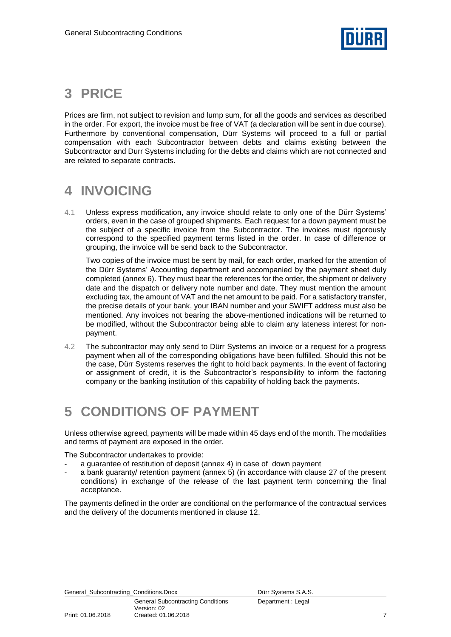

### <span id="page-6-0"></span>**3 PRICE**

Prices are firm, not subject to revision and lump sum, for all the goods and services as described in the order. For export, the invoice must be free of VAT (a declaration will be sent in due course). Furthermore by conventional compensation, Dürr Systems will proceed to a full or partial compensation with each Subcontractor between debts and claims existing between the Subcontractor and Durr Systems including for the debts and claims which are not connected and are related to separate contracts.

# <span id="page-6-1"></span>**4 INVOICING**

4.1 Unless express modification, any invoice should relate to only one of the Dürr Systems' orders, even in the case of grouped shipments. Each request for a down payment must be the subject of a specific invoice from the Subcontractor. The invoices must rigorously correspond to the specified payment terms listed in the order. In case of difference or grouping, the invoice will be send back to the Subcontractor.

Two copies of the invoice must be sent by mail, for each order, marked for the attention of the Dürr Systems' Accounting department and accompanied by the payment sheet duly completed (annex 6). They must bear the references for the order, the shipment or delivery date and the dispatch or delivery note number and date. They must mention the amount excluding tax, the amount of VAT and the net amount to be paid. For a satisfactory transfer, the precise details of your bank, your IBAN number and your SWIFT address must also be mentioned. Any invoices not bearing the above-mentioned indications will be returned to be modified, without the Subcontractor being able to claim any lateness interest for nonpayment.

4.2 The subcontractor may only send to Dürr Systems an invoice or a request for a progress payment when all of the corresponding obligations have been fulfilled. Should this not be the case, Dürr Systems reserves the right to hold back payments. In the event of factoring or assignment of credit, it is the Subcontractor's responsibility to inform the factoring company or the banking institution of this capability of holding back the payments.

### <span id="page-6-2"></span>**5 CONDITIONS OF PAYMENT**

Unless otherwise agreed, payments will be made within 45 days end of the month. The modalities and terms of payment are exposed in the order.

The Subcontractor undertakes to provide:

- a guarantee of restitution of deposit (annex 4) in case of down payment
- a bank guaranty/ retention payment (annex 5) (in accordance with clause 27 of the present conditions) in exchange of the release of the last payment term concerning the final acceptance.

The payments defined in the order are conditional on the performance of the contractual services and the delivery of the documents mentioned in clause 12.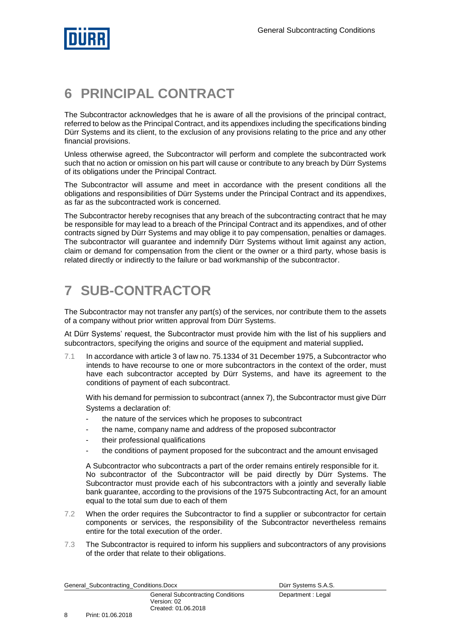

### <span id="page-7-0"></span>**6 PRINCIPAL CONTRACT**

The Subcontractor acknowledges that he is aware of all the provisions of the principal contract, referred to below as the Principal Contract, and its appendixes including the specifications binding Dürr Systems and its client, to the exclusion of any provisions relating to the price and any other financial provisions.

Unless otherwise agreed, the Subcontractor will perform and complete the subcontracted work such that no action or omission on his part will cause or contribute to any breach by Dürr Systems of its obligations under the Principal Contract.

The Subcontractor will assume and meet in accordance with the present conditions all the obligations and responsibilities of Dürr Systems under the Principal Contract and its appendixes, as far as the subcontracted work is concerned.

The Subcontractor hereby recognises that any breach of the subcontracting contract that he may be responsible for may lead to a breach of the Principal Contract and its appendixes, and of other contracts signed by Dürr Systems and may oblige it to pay compensation, penalties or damages. The subcontractor will guarantee and indemnify Dürr Systems without limit against any action, claim or demand for compensation from the client or the owner or a third party, whose basis is related directly or indirectly to the failure or bad workmanship of the subcontractor.

# <span id="page-7-1"></span>**7 SUB-CONTRACTOR**

The Subcontractor may not transfer any part(s) of the services, nor contribute them to the assets of a company without prior written approval from Dürr Systems.

At Dürr Systems' request, the Subcontractor must provide him with the list of his suppliers and subcontractors, specifying the origins and source of the equipment and material supplied**.**

7.1 In accordance with article 3 of law no. 75.1334 of 31 December 1975, a Subcontractor who intends to have recourse to one or more subcontractors in the context of the order, must have each subcontractor accepted by Dürr Systems, and have its agreement to the conditions of payment of each subcontract.

With his demand for permission to subcontract (annex 7), the Subcontractor must give Dürr Systems a declaration of:

- the nature of the services which he proposes to subcontract
- the name, company name and address of the proposed subcontractor
- their professional qualifications
- the conditions of payment proposed for the subcontract and the amount envisaged

A Subcontractor who subcontracts a part of the order remains entirely responsible for it. No subcontractor of the Subcontractor will be paid directly by Dürr Systems. The Subcontractor must provide each of his subcontractors with a jointly and severally liable bank guarantee, according to the provisions of the 1975 Subcontracting Act, for an amount equal to the total sum due to each of them

- 7.2 When the order requires the Subcontractor to find a supplier or subcontractor for certain components or services, the responsibility of the Subcontractor nevertheless remains entire for the total execution of the order.
- 7.3 The Subcontractor is required to inform his suppliers and subcontractors of any provisions of the order that relate to their obligations.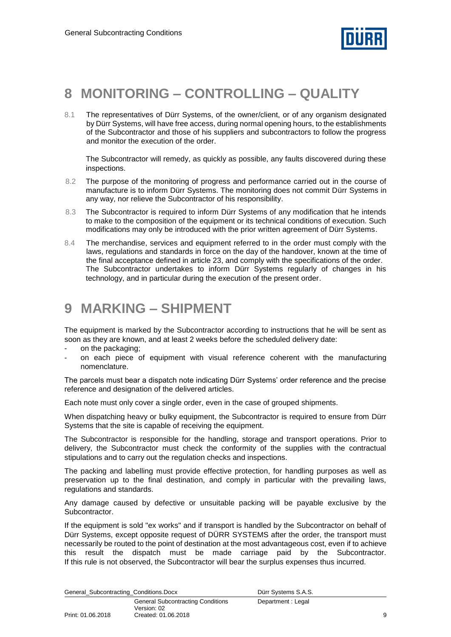

### <span id="page-8-0"></span>**8 MONITORING – CONTROLLING – QUALITY**

8.1 The representatives of Dürr Systems, of the owner/client, or of any organism designated by Dürr Systems, will have free access, during normal opening hours, to the establishments of the Subcontractor and those of his suppliers and subcontractors to follow the progress and monitor the execution of the order.

The Subcontractor will remedy, as quickly as possible, any faults discovered during these inspections.

- 8.2 The purpose of the monitoring of progress and performance carried out in the course of manufacture is to inform Dürr Systems. The monitoring does not commit Dürr Systems in any way, nor relieve the Subcontractor of his responsibility.
- 8.3 The Subcontractor is required to inform Dürr Systems of any modification that he intends to make to the composition of the equipment or its technical conditions of execution. Such modifications may only be introduced with the prior written agreement of Dürr Systems.
- 8.4 The merchandise, services and equipment referred to in the order must comply with the laws, regulations and standards in force on the day of the handover, known at the time of the final acceptance defined in article 23, and comply with the specifications of the order. The Subcontractor undertakes to inform Dürr Systems regularly of changes in his technology, and in particular during the execution of the present order.

### <span id="page-8-1"></span>**9 MARKING – SHIPMENT**

The equipment is marked by the Subcontractor according to instructions that he will be sent as soon as they are known, and at least 2 weeks before the scheduled delivery date:

- on the packaging;
- on each piece of equipment with visual reference coherent with the manufacturing nomenclature.

The parcels must bear a dispatch note indicating Dürr Systems' order reference and the precise reference and designation of the delivered articles.

Each note must only cover a single order, even in the case of grouped shipments.

When dispatching heavy or bulky equipment, the Subcontractor is required to ensure from Dürr Systems that the site is capable of receiving the equipment.

The Subcontractor is responsible for the handling, storage and transport operations. Prior to delivery, the Subcontractor must check the conformity of the supplies with the contractual stipulations and to carry out the regulation checks and inspections.

The packing and labelling must provide effective protection, for handling purposes as well as preservation up to the final destination, and comply in particular with the prevailing laws, regulations and standards.

Any damage caused by defective or unsuitable packing will be payable exclusive by the **Subcontractor** 

If the equipment is sold "ex works" and if transport is handled by the Subcontractor on behalf of Dürr Systems, except opposite request of DÜRR SYSTEMS after the order, the transport must necessarily be routed to the point of destination at the most advantageous cost, even if to achieve this result the dispatch must be made carriage paid by the Subcontractor. If this rule is not observed, the Subcontractor will bear the surplus expenses thus incurred.

|  | General_Subcontracting_Conditions.Docx |
|--|----------------------------------------|
|  |                                        |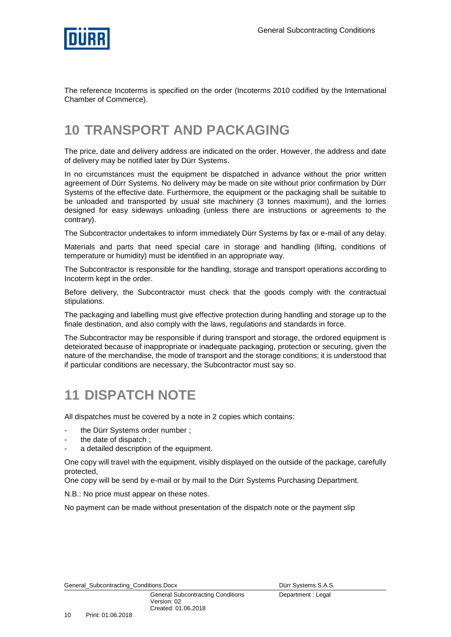

The reference Incoterms is specified on the order (Incoterms 2010 codified by the International Chamber of Commerce).

### <span id="page-9-0"></span>**10 TRANSPORT AND PACKAGING**

The price, date and delivery address are indicated on the order. However, the address and date of delivery may be notified later by Dürr Systems.

In no circumstances must the equipment be dispatched in advance without the prior written agreement of Dürr Systems. No delivery may be made on site without prior confirmation by Dürr Systems of the effective date. Furthermore, the equipment or the packaging shall be suitable to be unloaded and transported by usual site machinery (3 tonnes maximum), and the lorries designed for easy sideways unloading (unless there are instructions or agreements to the contrary).

The Subcontractor undertakes to inform immediately Dürr Systems by fax or e-mail of any delay.

Materials and parts that need special care in storage and handling (lifting, conditions of temperature or humidity) must be identified in an appropriate way.

The Subcontractor is responsible for the handling, storage and transport operations according to Incoterm kept in the order.

Before delivery, the Subcontractor must check that the goods comply with the contractual stipulations.

The packaging and labelling must give effective protection during handling and storage up to the finale destination, and also comply with the laws, regulations and standards in force.

The Subcontractor may be responsible if during transport and storage, the ordored equipment is deteiorated because of inappropriate or inadequate packaging, protection or securing, given the nature of the merchandise, the mode of transport and the storage conditions; it is understood that if particular conditions are necessary, the Subcontractor must say so.

### <span id="page-9-1"></span>**11 DISPATCH NOTE**

All dispatches must be covered by a note in 2 copies which contains:

- the Dürr Systems order number;
- the date of dispatch;
- a detailed description of the equipment.

One copy will travel with the equipment, visibly displayed on the outside of the package, carefully protected,

One copy will be send by e-mail or by mail to the Dürr Systems Purchasing Department.

N.B.: No price must appear on these notes.

No payment can be made without presentation of the dispatch note or the payment slip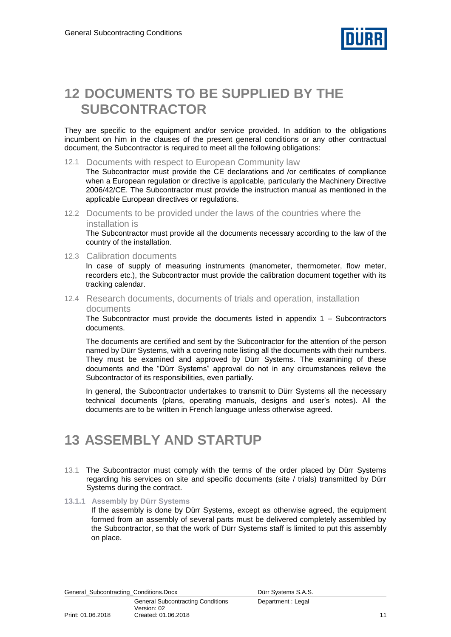

### <span id="page-10-0"></span>**12 DOCUMENTS TO BE SUPPLIED BY THE SUBCONTRACTOR**

They are specific to the equipment and/or service provided. In addition to the obligations incumbent on him in the clauses of the present general conditions or any other contractual document, the Subcontractor is required to meet all the following obligations:

12.1 Documents with respect to European Community law

The Subcontractor must provide the CE declarations and /or certificates of compliance when a European regulation or directive is applicable, particularly the Machinery Directive 2006/42/CE. The Subcontractor must provide the instruction manual as mentioned in the applicable European directives or regulations.

12.2 Documents to be provided under the laws of the countries where the installation is

The Subcontractor must provide all the documents necessary according to the law of the country of the installation.

12.3 Calibration documents

In case of supply of measuring instruments (manometer, thermometer, flow meter, recorders etc.), the Subcontractor must provide the calibration document together with its tracking calendar.

12.4 Research documents, documents of trials and operation, installation documents

The Subcontractor must provide the documents listed in appendix  $1 -$  Subcontractors documents.

The documents are certified and sent by the Subcontractor for the attention of the person named by Dürr Systems, with a covering note listing all the documents with their numbers. They must be examined and approved by Dürr Systems. The examining of these documents and the "Dürr Systems" approval do not in any circumstances relieve the Subcontractor of its responsibilities, even partially.

In general, the Subcontractor undertakes to transmit to Dürr Systems all the necessary technical documents (plans, operating manuals, designs and user's notes). All the documents are to be written in French language unless otherwise agreed.

### <span id="page-10-1"></span>**13 ASSEMBLY AND STARTUP**

- 13.1 The Subcontractor must comply with the terms of the order placed by Dürr Systems regarding his services on site and specific documents (site / trials) transmitted by Dürr Systems during the contract.
- **13.1.1 Assembly by Dürr Systems**

If the assembly is done by Dürr Systems, except as otherwise agreed, the equipment formed from an assembly of several parts must be delivered completely assembled by the Subcontractor, so that the work of Dürr Systems staff is limited to put this assembly on place.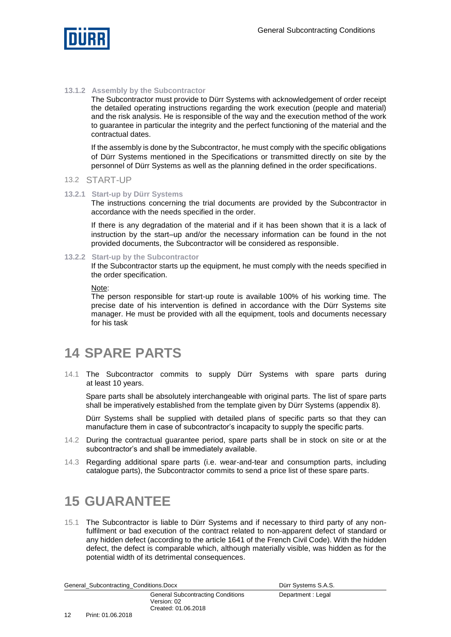

#### **13.1.2 Assembly by the Subcontractor**

The Subcontractor must provide to Dürr Systems with acknowledgement of order receipt the detailed operating instructions regarding the work execution (people and material) and the risk analysis. He is responsible of the way and the execution method of the work to guarantee in particular the integrity and the perfect functioning of the material and the contractual dates.

If the assembly is done by the Subcontractor, he must comply with the specific obligations of Dürr Systems mentioned in the Specifications or transmitted directly on site by the personnel of Dürr Systems as well as the planning defined in the order specifications.

#### 13.2 START-UP

#### **13.2.1 Start-up by Dürr Systems**

The instructions concerning the trial documents are provided by the Subcontractor in accordance with the needs specified in the order.

If there is any degradation of the material and if it has been shown that it is a lack of instruction by the start–up and/or the necessary information can be found in the not provided documents, the Subcontractor will be considered as responsible.

#### **13.2.2 Start-up by the Subcontractor**

If the Subcontractor starts up the equipment, he must comply with the needs specified in the order specification.

Note:

The person responsible for start-up route is available 100% of his working time. The precise date of his intervention is defined in accordance with the Dürr Systems site manager. He must be provided with all the equipment, tools and documents necessary for his task

### <span id="page-11-0"></span>**14 SPARE PARTS**

14.1 The Subcontractor commits to supply Dürr Systems with spare parts during at least 10 years.

Spare parts shall be absolutely interchangeable with original parts. The list of spare parts shall be imperatively established from the template given by Dürr Systems (appendix 8).

Dürr Systems shall be supplied with detailed plans of specific parts so that they can manufacture them in case of subcontractor's incapacity to supply the specific parts.

- 14.2 During the contractual guarantee period, spare parts shall be in stock on site or at the subcontractor's and shall be immediately available.
- 14.3 Regarding additional spare parts (i.e. wear-and-tear and consumption parts, including catalogue parts), the Subcontractor commits to send a price list of these spare parts.

### <span id="page-11-1"></span>**15 GUARANTEE**

15.1 The Subcontractor is liable to Dürr Systems and if necessary to third party of any nonfulfilment or bad execution of the contract related to non-apparent defect of standard or any hidden defect (according to the article 1641 of the French Civil Code). With the hidden defect, the defect is comparable which, although materially visible, was hidden as for the potential width of its detrimental consequences.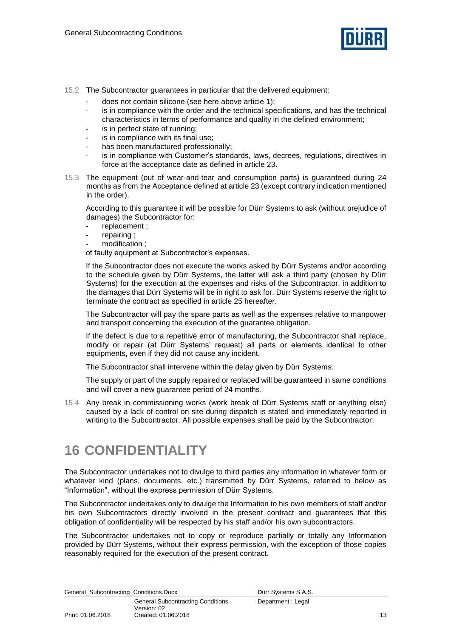

- 15.2 The Subcontractor guarantees in particular that the delivered equipment:
	- does not contain silicone (see here above article 1);
	- is in compliance with the order and the technical specifications, and has the technical characteristics in terms of performance and quality in the defined environment;
	- is in perfect state of running;
	- is in compliance with its final use:
	- has been manufactured professionally:
	- is in compliance with Customer's standards, laws, decrees, regulations, directives in force at the acceptance date as defined in article 23.
- 15.3 The equipment (out of wear-and-tear and consumption parts) is guaranteed during 24 months as from the Acceptance defined at article 23 (except contrary indication mentioned in the order).

According to this guarantee it will be possible for Dürr Systems to ask (without prejudice of damages) the Subcontractor for:

- replacement ;
- repairing;
- modification ;

of faulty equipment at Subcontractor's expenses.

If the Subcontractor does not execute the works asked by Dürr Systems and/or according to the schedule given by Dürr Systems, the latter will ask a third party (chosen by Dürr Systems) for the execution at the expenses and risks of the Subcontractor, in addition to the damages that Dürr Systems will be in right to ask for. Dürr Systems reserve the right to terminate the contract as specified in article 25 hereafter.

The Subcontractor will pay the spare parts as well as the expenses relative to manpower and transport concerning the execution of the guarantee obligation.

If the defect is due to a repetitive error of manufacturing, the Subcontractor shall replace, modify or repair (at Dürr Systems' request) all parts or elements identical to other equipments, even if they did not cause any incident.

The Subcontractor shall intervene within the delay given by Dürr Systems.

The supply or part of the supply repaired or replaced will be guaranteed in same conditions and will cover a new guarantee period of 24 months.

15.4 Any break in commissioning works (work break of Dürr Systems staff or anything else) caused by a lack of control on site during dispatch is stated and immediately reported in writing to the Subcontractor. All possible expenses shall be paid by the Subcontractor.

### <span id="page-12-0"></span>**16 CONFIDENTIALITY**

The Subcontractor undertakes not to divulge to third parties any information in whatever form or whatever kind (plans, documents, etc.) transmitted by Dürr Systems, referred to below as "Information", without the express permission of Dürr Systems.

The Subcontractor undertakes only to divulge the Information to his own members of staff and/or his own Subcontractors directly involved in the present contract and guarantees that this obligation of confidentiality will be respected by his staff and/or his own subcontractors.

The Subcontractor undertakes not to copy or reproduce partially or totally any Information provided by Dürr Systems, without their express permission, with the exception of those copies reasonably required for the execution of the present contract.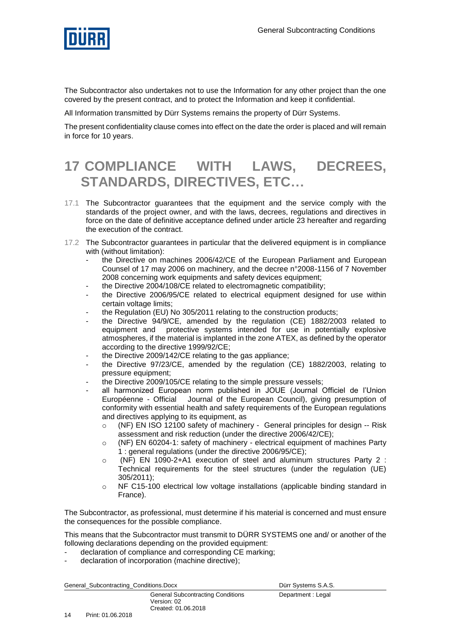

The Subcontractor also undertakes not to use the Information for any other project than the one covered by the present contract, and to protect the Information and keep it confidential.

All Information transmitted by Dürr Systems remains the property of Dürr Systems.

The present confidentiality clause comes into effect on the date the order is placed and will remain in force for 10 years.

# <span id="page-13-0"></span>**17 COMPLIANCE WITH LAWS, DECREES, STANDARDS, DIRECTIVES, ETC…**

- 17.1 The Subcontractor guarantees that the equipment and the service comply with the standards of the project owner, and with the laws, decrees, regulations and directives in force on the date of definitive acceptance defined under article 23 hereafter and regarding the execution of the contract.
- 17.2 The Subcontractor guarantees in particular that the delivered equipment is in compliance with (without limitation):
	- the Directive on machines 2006/42/CE of the European Parliament and European Counsel of 17 may 2006 on machinery, and the decree n°2008-1156 of 7 November 2008 concerning work equipments and safety devices equipment;
	- the Directive 2004/108/CE related to electromagnetic compatibility;
	- the Directive 2006/95/CE related to electrical equipment designed for use within certain voltage limits;
	- the Regulation (EU) No 305/2011 relating to the construction products;
	- the Directive 94/9/CE, amended by the regulation (CE) 1882/2003 related to equipment and protective systems intended for use in potentially explosive atmospheres, if the material is implanted in the zone ATEX, as defined by the operator according to the directive 1999/92/CE;
	- the Directive 2009/142/CE relating to the gas appliance;
	- the Directive 97/23/CE, amended by the regulation (CE) 1882/2003, relating to pressure equipment;
	- the Directive 2009/105/CE relating to the simple pressure vessels;
	- all harmonized European norm published in JOUE (Journal Officiel de l'Union Européenne - Official Journal of the European Council), giving presumption of conformity with essential health and safety requirements of the European regulations and directives applying to its equipment, as
		- o (NF) EN ISO 12100 safety of machinery General principles for design -- Risk assessment and risk reduction (under the directive 2006/42/CE);
		- o (NF) EN 60204-1: safety of machinery electrical equipment of machines Party 1 : general regulations (under the directive 2006/95/CE);
		- o (NF) EN 1090-2+A1 execution of steel and aluminum structures Party 2 : Technical requirements for the steel structures (under the regulation (UE) 305/2011);
		- o NF C15-100 electrical low voltage installations (applicable binding standard in France).

The Subcontractor, as professional, must determine if his material is concerned and must ensure the consequences for the possible compliance.

This means that the Subcontractor must transmit to DÜRR SYSTEMS one and/ or another of the following declarations depending on the provided equipment:

- declaration of compliance and corresponding CE marking;
- declaration of incorporation (machine directive);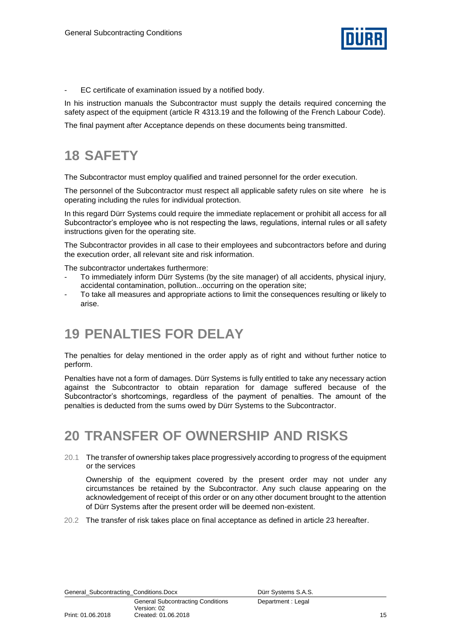

- EC certificate of examination issued by a notified body.

In his instruction manuals the Subcontractor must supply the details required concerning the safety aspect of the equipment (article R 4313.19 and the following of the French Labour Code).

<span id="page-14-0"></span>The final payment after Acceptance depends on these documents being transmitted.

# **18 SAFETY**

The Subcontractor must employ qualified and trained personnel for the order execution.

The personnel of the Subcontractor must respect all applicable safety rules on site where he is operating including the rules for individual protection.

In this regard Dürr Systems could require the immediate replacement or prohibit all access for all Subcontractor's employee who is not respecting the laws, regulations, internal rules or all safety instructions given for the operating site.

The Subcontractor provides in all case to their employees and subcontractors before and during the execution order, all relevant site and risk information.

The subcontractor undertakes furthermore:

- To immediately inform Dürr Systems (by the site manager) of all accidents, physical injury, accidental contamination, pollution...occurring on the operation site;
- To take all measures and appropriate actions to limit the consequences resulting or likely to arise.

### <span id="page-14-1"></span>**19 PENALTIES FOR DELAY**

The penalties for delay mentioned in the order apply as of right and without further notice to perform.

Penalties have not a form of damages. Dürr Systems is fully entitled to take any necessary action against the Subcontractor to obtain reparation for damage suffered because of the Subcontractor's shortcomings, regardless of the payment of penalties. The amount of the penalties is deducted from the sums owed by Dürr Systems to the Subcontractor.

### <span id="page-14-2"></span>**20 TRANSFER OF OWNERSHIP AND RISKS**

20.1 The transfer of ownership takes place progressively according to progress of the equipment or the services

Ownership of the equipment covered by the present order may not under any circumstances be retained by the Subcontractor. Any such clause appearing on the acknowledgement of receipt of this order or on any other document brought to the attention of Dürr Systems after the present order will be deemed non-existent.

20.2 The transfer of risk takes place on final acceptance as defined in article 23 hereafter.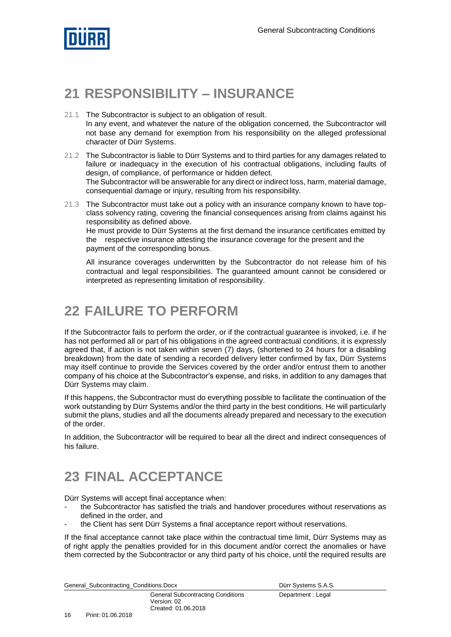

### <span id="page-15-0"></span>**21 RESPONSIBILITY – INSURANCE**

- 21.1 The Subcontractor is subject to an obligation of result. In any event, and whatever the nature of the obligation concerned, the Subcontractor will not base any demand for exemption from his responsibility on the alleged professional character of Dürr Systems.
- 21.2 The Subcontractor is liable to Dürr Systems and to third parties for any damages related to failure or inadequacy in the execution of his contractual obligations, including faults of design, of compliance, of performance or hidden defect. The Subcontractor will be answerable for any direct or indirect loss, harm, material damage, consequential damage or injury, resulting from his responsibility.
- 21.3 The Subcontractor must take out a policy with an insurance company known to have topclass solvency rating, covering the financial consequences arising from claims against his responsibility as defined above.

He must provide to Dürr Systems at the first demand the insurance certificates emitted by the respective insurance attesting the insurance coverage for the present and the payment of the corresponding bonus.

All insurance coverages underwritten by the Subcontractor do not release him of his contractual and legal responsibilities. The guaranteed amount cannot be considered or interpreted as representing limitation of responsibility.

### <span id="page-15-1"></span>**22 FAILURE TO PERFORM**

If the Subcontractor fails to perform the order, or if the contractual guarantee is invoked, i.e. if he has not performed all or part of his obligations in the agreed contractual conditions, it is expressly agreed that, if action is not taken within seven (7) days, (shortened to 24 hours for a disabling breakdown) from the date of sending a recorded delivery letter confirmed by fax, Dürr Systems may itself continue to provide the Services covered by the order and/or entrust them to another company of his choice at the Subcontractor's expense, and risks, in addition to any damages that Dürr Systems may claim.

If this happens, the Subcontractor must do everything possible to facilitate the continuation of the work outstanding by Dürr Systems and/or the third party in the best conditions. He will particularly submit the plans, studies and all the documents already prepared and necessary to the execution of the order.

In addition, the Subcontractor will be required to bear all the direct and indirect consequences of his failure.

# <span id="page-15-2"></span>**23 FINAL ACCEPTANCE**

Dürr Systems will accept final acceptance when:

- the Subcontractor has satisfied the trials and handover procedures without reservations as defined in the order, and
- the Client has sent Dürr Systems a final acceptance report without reservations.

If the final acceptance cannot take place within the contractual time limit, Dürr Systems may as of right apply the penalties provided for in this document and/or correct the anomalies or have them corrected by the Subcontractor or any third party of his choice, until the required results are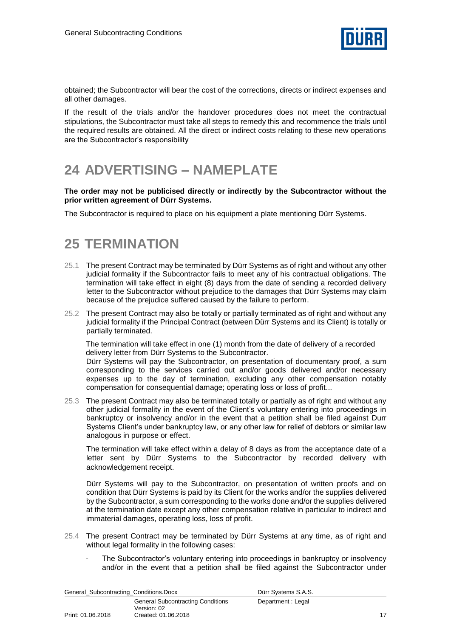

obtained; the Subcontractor will bear the cost of the corrections, directs or indirect expenses and all other damages.

If the result of the trials and/or the handover procedures does not meet the contractual stipulations, the Subcontractor must take all steps to remedy this and recommence the trials until the required results are obtained. All the direct or indirect costs relating to these new operations are the Subcontractor's responsibility

### <span id="page-16-0"></span>**24 ADVERTISING – NAMEPLATE**

#### **The order may not be publicised directly or indirectly by the Subcontractor without the prior written agreement of Dürr Systems.**

<span id="page-16-1"></span>The Subcontractor is required to place on his equipment a plate mentioning Dürr Systems.

### **25 TERMINATION**

- 25.1 The present Contract may be terminated by Dürr Systems as of right and without any other judicial formality if the Subcontractor fails to meet any of his contractual obligations. The termination will take effect in eight (8) days from the date of sending a recorded delivery letter to the Subcontractor without prejudice to the damages that Dürr Systems may claim because of the prejudice suffered caused by the failure to perform.
- 25.2 The present Contract may also be totally or partially terminated as of right and without any judicial formality if the Principal Contract (between Dürr Systems and its Client) is totally or partially terminated.

The termination will take effect in one (1) month from the date of delivery of a recorded delivery letter from Dürr Systems to the Subcontractor.

Dürr Systems will pay the Subcontractor, on presentation of documentary proof, a sum corresponding to the services carried out and/or goods delivered and/or necessary expenses up to the day of termination, excluding any other compensation notably compensation for consequential damage; operating loss or loss of profit...

25.3 The present Contract may also be terminated totally or partially as of right and without any other judicial formality in the event of the Client's voluntary entering into proceedings in bankruptcy or insolvency and/or in the event that a petition shall be filed against Durr Systems Client's under bankruptcy law, or any other law for relief of debtors or similar law analogous in purpose or effect.

The termination will take effect within a delay of 8 days as from the acceptance date of a letter sent by Dürr Systems to the Subcontractor by recorded delivery with acknowledgement receipt.

Dürr Systems will pay to the Subcontractor, on presentation of written proofs and on condition that Dürr Systems is paid by its Client for the works and/or the supplies delivered by the Subcontractor, a sum corresponding to the works done and/or the supplies delivered at the termination date except any other compensation relative in particular to indirect and immaterial damages, operating loss, loss of profit.

- 25.4 The present Contract may be terminated by Dürr Systems at any time, as of right and without legal formality in the following cases:
	- The Subcontractor's voluntary entering into proceedings in bankruptcy or insolvency and/or in the event that a petition shall be filed against the Subcontractor under

| General Subcontracting Conditions.Docx |                                                                                | Dürr Systems S.A.S. |  |
|----------------------------------------|--------------------------------------------------------------------------------|---------------------|--|
| Print: 01.06.2018                      | <b>General Subcontracting Conditions</b><br>Version: 02<br>Created: 01.06.2018 | Department: Legal   |  |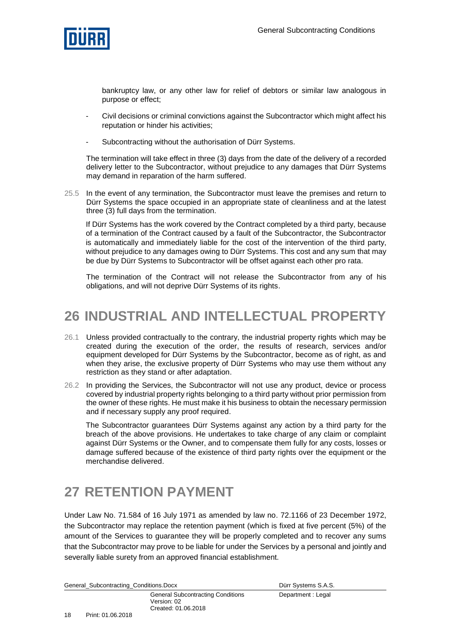

bankruptcy law, or any other law for relief of debtors or similar law analogous in purpose or effect;

- Civil decisions or criminal convictions against the Subcontractor which might affect his reputation or hinder his activities;
- Subcontracting without the authorisation of Dürr Systems.

The termination will take effect in three (3) days from the date of the delivery of a recorded delivery letter to the Subcontractor, without prejudice to any damages that Dürr Systems may demand in reparation of the harm suffered.

25.5 In the event of any termination, the Subcontractor must leave the premises and return to Dürr Systems the space occupied in an appropriate state of cleanliness and at the latest three (3) full days from the termination.

If Dürr Systems has the work covered by the Contract completed by a third party, because of a termination of the Contract caused by a fault of the Subcontractor, the Subcontractor is automatically and immediately liable for the cost of the intervention of the third party, without prejudice to any damages owing to Dürr Systems. This cost and any sum that may be due by Dürr Systems to Subcontractor will be offset against each other pro rata.

<span id="page-17-0"></span>The termination of the Contract will not release the Subcontractor from any of his obligations, and will not deprive Dürr Systems of its rights.

### **26 INDUSTRIAL AND INTELLECTUAL PROPERTY**

- 26.1 Unless provided contractually to the contrary, the industrial property rights which may be created during the execution of the order, the results of research, services and/or equipment developed for Dürr Systems by the Subcontractor, become as of right, as and when they arise, the exclusive property of Dürr Systems who may use them without any restriction as they stand or after adaptation.
- 26.2 In providing the Services, the Subcontractor will not use any product, device or process covered by industrial property rights belonging to a third party without prior permission from the owner of these rights. He must make it his business to obtain the necessary permission and if necessary supply any proof required.

The Subcontractor guarantees Dürr Systems against any action by a third party for the breach of the above provisions. He undertakes to take charge of any claim or complaint against Dürr Systems or the Owner, and to compensate them fully for any costs, losses or damage suffered because of the existence of third party rights over the equipment or the merchandise delivered.

### <span id="page-17-1"></span>**27 RETENTION PAYMENT**

Under Law No. 71.584 of 16 July 1971 as amended by law no. 72.1166 of 23 December 1972, the Subcontractor may replace the retention payment (which is fixed at five percent (5%) of the amount of the Services to guarantee they will be properly completed and to recover any sums that the Subcontractor may prove to be liable for under the Services by a personal and jointly and severally liable surety from an approved financial establishment.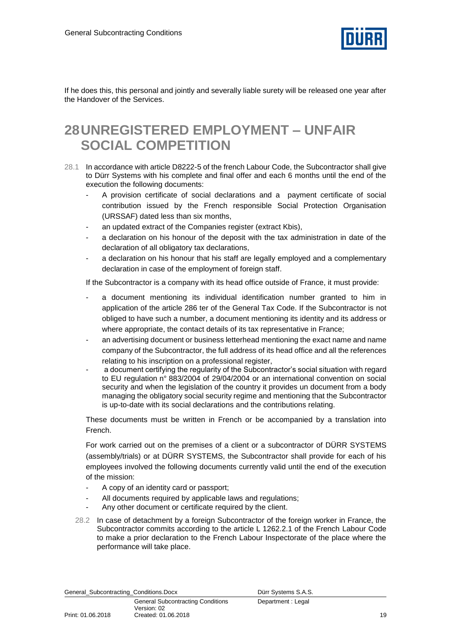

<span id="page-18-0"></span>If he does this, this personal and jointly and severally liable surety will be released one year after the Handover of the Services.

### **28UNREGISTERED EMPLOYMENT – UNFAIR SOCIAL COMPETITION**

- 28.1 In accordance with article D8222-5 of the french Labour Code, the Subcontractor shall give to Dürr Systems with his complete and final offer and each 6 months until the end of the execution the following documents:
	- A provision certificate of social declarations and a payment certificate of social contribution issued by the French responsible Social Protection Organisation (URSSAF) dated less than six months,
	- an updated extract of the Companies register (extract Kbis),
	- a declaration on his honour of the deposit with the tax administration in date of the declaration of all obligatory tax declarations,
	- a declaration on his honour that his staff are legally employed and a complementary declaration in case of the employment of foreign staff.

If the Subcontractor is a company with its head office outside of France, it must provide:

- a document mentioning its individual identification number granted to him in application of the article 286 ter of the General Tax Code. If the Subcontractor is not obliged to have such a number, a document mentioning its identity and its address or where appropriate, the contact details of its tax representative in France;
- an advertising document or business letterhead mentioning the exact name and name company of the Subcontractor, the full address of its head office and all the references relating to his inscription on a professional register,
- a document certifying the regularity of the Subcontractor's social situation with regard to EU regulation n° 883/2004 of 29/04/2004 or an international convention on social security and when the legislation of the country it provides un document from a body managing the obligatory social security regime and mentioning that the Subcontractor is up-to-date with its social declarations and the contributions relating.

These documents must be written in French or be accompanied by a translation into French.

For work carried out on the premises of a client or a subcontractor of DÜRR SYSTEMS (assembly/trials) or at DÜRR SYSTEMS, the Subcontractor shall provide for each of his employees involved the following documents currently valid until the end of the execution of the mission:

- A copy of an identity card or passport;
- All documents required by applicable laws and regulations;
- Any other document or certificate required by the client.
- 28.2 In case of detachment by a foreign Subcontractor of the foreign worker in France, the Subcontractor commits according to the article L 1262.2.1 of the French Labour Code to make a prior declaration to the French Labour Inspectorate of the place where the performance will take place.

19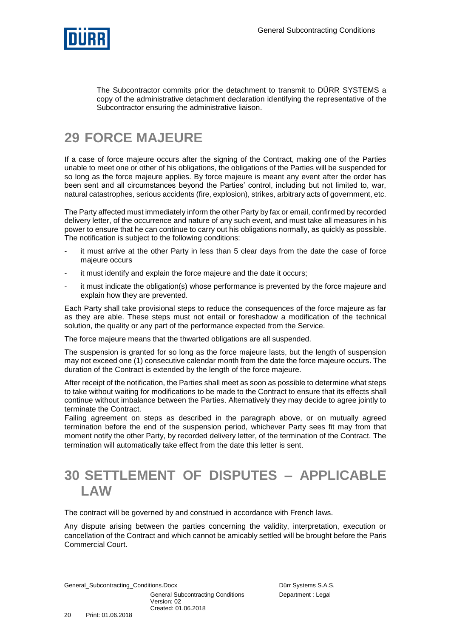

The Subcontractor commits prior the detachment to transmit to DÜRR SYSTEMS a copy of the administrative detachment declaration identifying the representative of the Subcontractor ensuring the administrative liaison.

### <span id="page-19-0"></span>**29 FORCE MAJEURE**

If a case of force majeure occurs after the signing of the Contract, making one of the Parties unable to meet one or other of his obligations, the obligations of the Parties will be suspended for so long as the force majeure applies. By force majeure is meant any event after the order has been sent and all circumstances beyond the Parties' control, including but not limited to, war, natural catastrophes, serious accidents (fire, explosion), strikes, arbitrary acts of government, etc.

The Party affected must immediately inform the other Party by fax or email, confirmed by recorded delivery letter, of the occurrence and nature of any such event, and must take all measures in his power to ensure that he can continue to carry out his obligations normally, as quickly as possible. The notification is subject to the following conditions:

- it must arrive at the other Party in less than 5 clear days from the date the case of force majeure occurs
- it must identify and explain the force majeure and the date it occurs;
- it must indicate the obligation(s) whose performance is prevented by the force majeure and explain how they are prevented.

Each Party shall take provisional steps to reduce the consequences of the force majeure as far as they are able. These steps must not entail or foreshadow a modification of the technical solution, the quality or any part of the performance expected from the Service.

The force majeure means that the thwarted obligations are all suspended.

The suspension is granted for so long as the force majeure lasts, but the length of suspension may not exceed one (1) consecutive calendar month from the date the force majeure occurs. The duration of the Contract is extended by the length of the force majeure.

After receipt of the notification, the Parties shall meet as soon as possible to determine what steps to take without waiting for modifications to be made to the Contract to ensure that its effects shall continue without imbalance between the Parties. Alternatively they may decide to agree jointly to terminate the Contract.

Failing agreement on steps as described in the paragraph above, or on mutually agreed termination before the end of the suspension period, whichever Party sees fit may from that moment notify the other Party, by recorded delivery letter, of the termination of the Contract. The termination will automatically take effect from the date this letter is sent.

### <span id="page-19-1"></span>**30 SETTLEMENT OF DISPUTES – APPLICABLE LAW**

The contract will be governed by and construed in accordance with French laws.

Any dispute arising between the parties concerning the validity, interpretation, execution or cancellation of the Contract and which cannot be amicably settled will be brought before the Paris Commercial Court.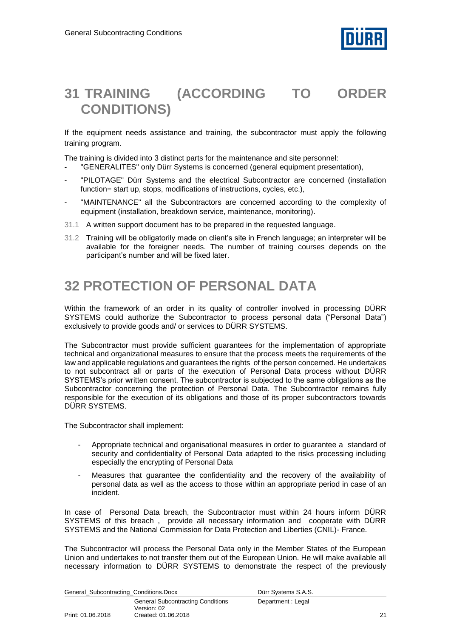

### <span id="page-20-0"></span>**31 TRAINING (ACCORDING TO ORDER CONDITIONS)**

If the equipment needs assistance and training, the subcontractor must apply the following training program.

The training is divided into 3 distinct parts for the maintenance and site personnel:

- "GENERALITES" only Dürr Systems is concerned (general equipment presentation),
- "PILOTAGE" Dürr Systems and the electrical Subcontractor are concerned (installation function= start up, stops, modifications of instructions, cycles, etc.),
- "MAINTENANCE" all the Subcontractors are concerned according to the complexity of equipment (installation, breakdown service, maintenance, monitoring).
- 31.1 A written support document has to be prepared in the requested language.
- 31.2 Training will be obligatorily made on client's site in French language; an interpreter will be available for the foreigner needs. The number of training courses depends on the participant's number and will be fixed later.

### <span id="page-20-1"></span>**32 PROTECTION OF PERSONAL DATA**

Within the framework of an order in its quality of controller involved in processing DÜRR SYSTEMS could authorize the Subcontractor to process personal data ("Personal Data") exclusively to provide goods and/ or services to DÜRR SYSTEMS.

The Subcontractor must provide sufficient guarantees for the implementation of appropriate technical and organizational measures to ensure that the process meets the requirements of the law and applicable regulations and guarantees the rights of the person concerned. He undertakes to not subcontract all or parts of the execution of Personal Data process without DÜRR SYSTEMS's prior written consent. The subcontractor is subjected to the same obligations as the Subcontractor concerning the protection of Personal Data. The Subcontractor remains fully responsible for the execution of its obligations and those of its proper subcontractors towards DÜRR SYSTEMS.

The Subcontractor shall implement:

- Appropriate technical and organisational measures in order to guarantee a standard of security and confidentiality of Personal Data adapted to the risks processing including especially the encrypting of Personal Data
- Measures that quarantee the confidentiality and the recovery of the availability of personal data as well as the access to those within an appropriate period in case of an incident.

In case of Personal Data breach, the Subcontractor must within 24 hours inform DÜRR SYSTEMS of this breach , provide all necessary information and cooperate with DÜRR SYSTEMS and the National Commission for Data Protection and Liberties (CNIL)- France.

The Subcontractor will process the Personal Data only in the Member States of the European Union and undertakes to not transfer them out of the European Union. He will make available all necessary information to DÜRR SYSTEMS to demonstrate the respect of the previously

| General_Subcontracting_Conditions.Docx |                                                                                | Dürr Systems S.A.S. |  |
|----------------------------------------|--------------------------------------------------------------------------------|---------------------|--|
| Print: 01.06.2018                      | <b>General Subcontracting Conditions</b><br>Version: 02<br>Created: 01.06.2018 | Department: Legal   |  |